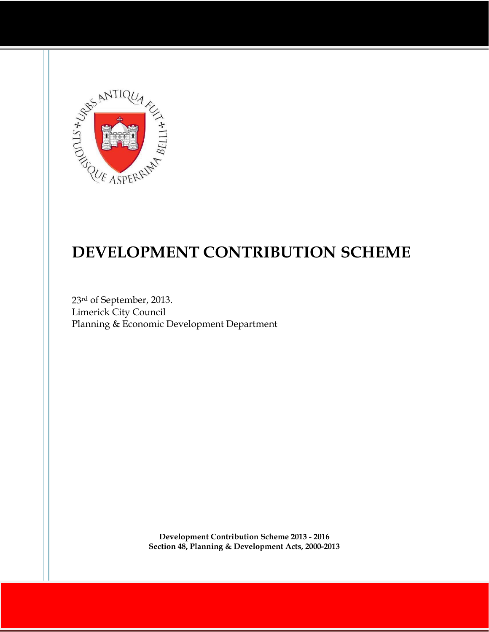

# **DEVELOPMENT CONTRIBUTION SCHEME**

23rd of September, 2013. Limerick City Council Planning & Economic Development Department

> **Development Contribution Scheme 2013 - 2016 Section 48, Planning & Development Acts, 2000-2013**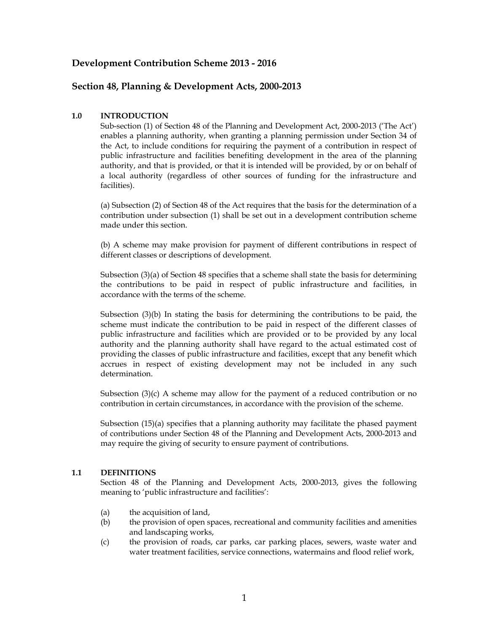### **Development Contribution Scheme 2013 - 2016**

### **Section 48, Planning & Development Acts, 2000-2013**

### **1.0 INTRODUCTION**

Sub-section (1) of Section 48 of the Planning and Development Act, 2000-2013 ('The Act') enables a planning authority, when granting a planning permission under Section 34 of the Act, to include conditions for requiring the payment of a contribution in respect of public infrastructure and facilities benefiting development in the area of the planning authority, and that is provided, or that it is intended will be provided, by or on behalf of a local authority (regardless of other sources of funding for the infrastructure and facilities).

(a) Subsection (2) of Section 48 of the Act requires that the basis for the determination of a contribution under subsection (1) shall be set out in a development contribution scheme made under this section.

(b) A scheme may make provision for payment of different contributions in respect of different classes or descriptions of development.

Subsection (3)(a) of Section 48 specifies that a scheme shall state the basis for determining the contributions to be paid in respect of public infrastructure and facilities, in accordance with the terms of the scheme.

Subsection (3)(b) In stating the basis for determining the contributions to be paid, the scheme must indicate the contribution to be paid in respect of the different classes of public infrastructure and facilities which are provided or to be provided by any local authority and the planning authority shall have regard to the actual estimated cost of providing the classes of public infrastructure and facilities, except that any benefit which accrues in respect of existing development may not be included in any such determination.

Subsection (3)(c) A scheme may allow for the payment of a reduced contribution or no contribution in certain circumstances, in accordance with the provision of the scheme.

Subsection (15)(a) specifies that a planning authority may facilitate the phased payment of contributions under Section 48 of the Planning and Development Acts, 2000-2013 and may require the giving of security to ensure payment of contributions.

#### **1.1 DEFINITIONS**

Section 48 of the Planning and Development Acts, 2000-2013, gives the following meaning to 'public infrastructure and facilities':

- (a) the acquisition of land,
- (b) the provision of open spaces, recreational and community facilities and amenities and landscaping works,
- (c) the provision of roads, car parks, car parking places, sewers, waste water and water treatment facilities, service connections, watermains and flood relief work,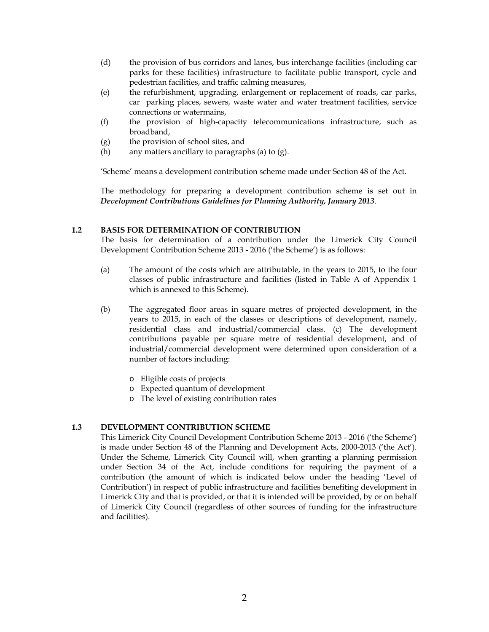- (d) the provision of bus corridors and lanes, bus interchange facilities (including car parks for these facilities) infrastructure to facilitate public transport, cycle and pedestrian facilities, and traffic calming measures,
- (e) the refurbishment, upgrading, enlargement or replacement of roads, car parks, car parking places, sewers, waste water and water treatment facilities, service connections or watermains,
- (f) the provision of high-capacity telecommunications infrastructure, such as broadband,
- (g) the provision of school sites, and
- (h) any matters ancillary to paragraphs (a) to  $(g)$ .

'Scheme' means a development contribution scheme made under Section 48 of the Act.

The methodology for preparing a development contribution scheme is set out in *Development Contributions Guidelines for Planning Authority, January 2013*.

### **1.2 BASIS FOR DETERMINATION OF CONTRIBUTION**

The basis for determination of a contribution under the Limerick City Council Development Contribution Scheme 2013 - 2016 ('the Scheme') is as follows:

- (a) The amount of the costs which are attributable, in the years to 2015, to the four classes of public infrastructure and facilities (listed in Table A of Appendix 1 which is annexed to this Scheme).
- (b) The aggregated floor areas in square metres of projected development, in the years to 2015, in each of the classes or descriptions of development, namely, residential class and industrial/commercial class. (c) The development contributions payable per square metre of residential development, and of industrial/commercial development were determined upon consideration of a number of factors including:
	- o Eligible costs of projects
	- o Expected quantum of development
	- o The level of existing contribution rates

### **1.3 DEVELOPMENT CONTRIBUTION SCHEME**

This Limerick City Council Development Contribution Scheme 2013 - 2016 ('the Scheme') is made under Section 48 of the Planning and Development Acts, 2000-2013 ('the Act'). Under the Scheme, Limerick City Council will, when granting a planning permission under Section 34 of the Act, include conditions for requiring the payment of a contribution (the amount of which is indicated below under the heading 'Level of Contribution') in respect of public infrastructure and facilities benefiting development in Limerick City and that is provided, or that it is intended will be provided, by or on behalf of Limerick City Council (regardless of other sources of funding for the infrastructure and facilities).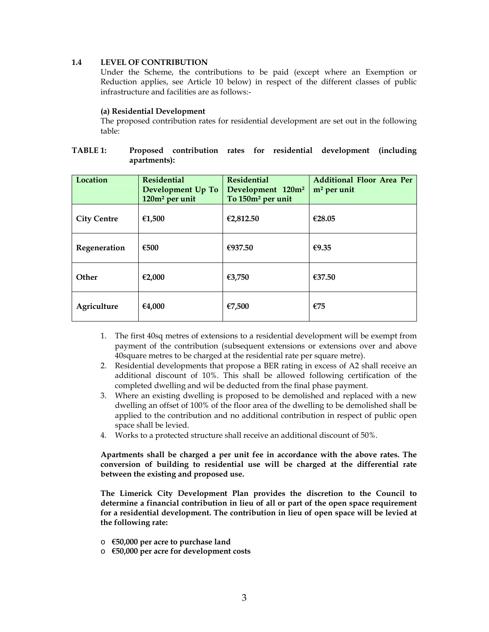### **1.4 LEVEL OF CONTRIBUTION**

Under the Scheme, the contributions to be paid (except where an Exemption or Reduction applies, see Article 10 below) in respect of the different classes of public infrastructure and facilities are as follows:-

#### **(a) Residential Development**

The proposed contribution rates for residential development are set out in the following table:

| <b>TABLE 1:</b> |              |  |  | Proposed contribution rates for residential development (including |  |
|-----------------|--------------|--|--|--------------------------------------------------------------------|--|
|                 | apartments): |  |  |                                                                    |  |

| Location           | <b>Residential</b><br>Development Up To<br>120m <sup>2</sup> per unit | <b>Residential</b><br>Development 120m <sup>2</sup><br>To 150m <sup>2</sup> per unit | Additional Floor Area Per<br>$m2$ per unit |
|--------------------|-----------------------------------------------------------------------|--------------------------------------------------------------------------------------|--------------------------------------------|
| <b>City Centre</b> | €1,500                                                                | €2,812.50                                                                            | €28.05                                     |
| Regeneration       | €500                                                                  | €937.50                                                                              | €9.35                                      |
| Other              | €2,000                                                                | €3,750                                                                               | €37.50                                     |
| Agriculture        | €4.000                                                                | €7,500                                                                               | €75                                        |

- 1. The first 40sq metres of extensions to a residential development will be exempt from payment of the contribution (subsequent extensions or extensions over and above 40square metres to be charged at the residential rate per square metre).
- 2. Residential developments that propose a BER rating in excess of A2 shall receive an additional discount of 10%. This shall be allowed following certification of the completed dwelling and wil be deducted from the final phase payment.
- 3. Where an existing dwelling is proposed to be demolished and replaced with a new dwelling an offset of 100% of the floor area of the dwelling to be demolished shall be applied to the contribution and no additional contribution in respect of public open space shall be levied.
- 4. Works to a protected structure shall receive an additional discount of 50%.

**Apartments shall be charged a per unit fee in accordance with the above rates. The conversion of building to residential use will be charged at the differential rate between the existing and proposed use.** 

**The Limerick City Development Plan provides the discretion to the Council to determine a financial contribution in lieu of all or part of the open space requirement for a residential development. The contribution in lieu of open space will be levied at the following rate:** 

- o **€50,000 per acre to purchase land**
- o **€50,000 per acre for development costs**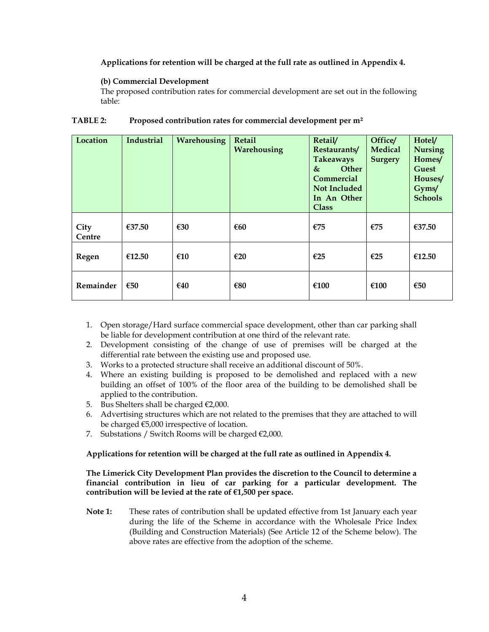### **Applications for retention will be charged at the full rate as outlined in Appendix 4.**

#### **(b) Commercial Development**

The proposed contribution rates for commercial development are set out in the following table:

| Location       | Industrial | Warehousing | Retail<br>Warehousing | Retail/<br>Restaurants/<br><b>Takeaways</b><br><b>Other</b><br>$\&$<br><b>Commercial</b><br><b>Not Included</b><br>In An Other<br><b>Class</b> | Office/<br><b>Medical</b><br><b>Surgery</b> | Hotel/<br><b>Nursing</b><br>Homes/<br>Guest<br>Houses/<br>Gyms/<br><b>Schools</b> |
|----------------|------------|-------------|-----------------------|------------------------------------------------------------------------------------------------------------------------------------------------|---------------------------------------------|-----------------------------------------------------------------------------------|
| City<br>Centre | €37.50     | €30         | €60                   | €75                                                                                                                                            | E75                                         | €37.50                                                                            |
| Regen          | €12.50     | €10         | E20                   | €25                                                                                                                                            | €25                                         | €12.50                                                                            |
| Remainder      | €50        | €40         | €80                   | €100                                                                                                                                           | €100                                        | €50                                                                               |

#### **TABLE 2: Proposed contribution rates for commercial development per m²**

- 1. Open storage/Hard surface commercial space development, other than car parking shall be liable for development contribution at one third of the relevant rate.
- 2. Development consisting of the change of use of premises will be charged at the differential rate between the existing use and proposed use.
- 3. Works to a protected structure shall receive an additional discount of 50%.
- 4. Where an existing building is proposed to be demolished and replaced with a new building an offset of 100% of the floor area of the building to be demolished shall be applied to the contribution.
- 5. Bus Shelters shall be charged  $\epsilon$ 2,000.
- 6. Advertising structures which are not related to the premises that they are attached to will be charged €5,000 irrespective of location.
- 7. Substations / Switch Rooms will be charged  $\epsilon$ 2,000.

#### **Applications for retention will be charged at the full rate as outlined in Appendix 4.**

**The Limerick City Development Plan provides the discretion to the Council to determine a financial contribution in lieu of car parking for a particular development. The contribution will be levied at the rate of €1,500 per space.** 

**Note 1:** These rates of contribution shall be updated effective from 1st January each year during the life of the Scheme in accordance with the Wholesale Price Index (Building and Construction Materials) (See Article 12 of the Scheme below). The above rates are effective from the adoption of the scheme.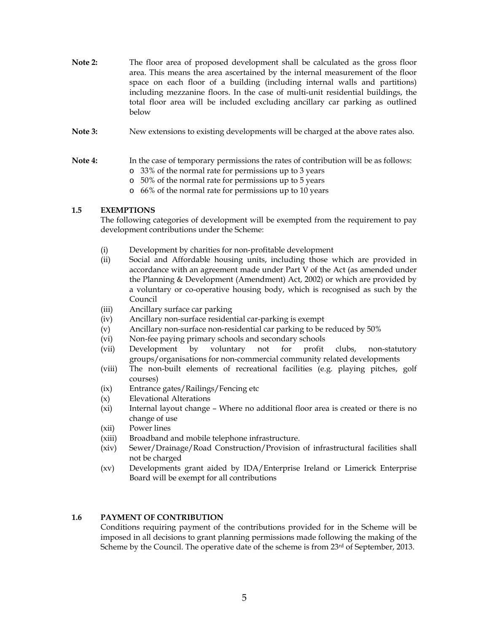- **Note 2:** The floor area of proposed development shall be calculated as the gross floor area. This means the area ascertained by the internal measurement of the floor space on each floor of a building (including internal walls and partitions) including mezzanine floors. In the case of multi-unit residential buildings, the total floor area will be included excluding ancillary car parking as outlined below
- **Note 3:** New extensions to existing developments will be charged at the above rates also.

#### **Note 4:** In the case of temporary permissions the rates of contribution will be as follows:

- o 33% of the normal rate for permissions up to 3 years
- o 50% of the normal rate for permissions up to 5 years
- o 66% of the normal rate for permissions up to 10 years

### **1.5 EXEMPTIONS**

The following categories of development will be exempted from the requirement to pay development contributions under the Scheme:

- (i) Development by charities for non-profitable development
- (ii) Social and Affordable housing units, including those which are provided in accordance with an agreement made under Part V of the Act (as amended under the Planning & Development (Amendment) Act, 2002) or which are provided by a voluntary or co-operative housing body, which is recognised as such by the Council
- (iii) Ancillary surface car parking
- (iv) Ancillary non-surface residential car-parking is exempt
- (v) Ancillary non-surface non-residential car parking to be reduced by 50%
- (vi) Non-fee paying primary schools and secondary schools
- (vii) Development by voluntary not for profit clubs, non-statutory groups/organisations for non-commercial community related developments
- (viii) The non-built elements of recreational facilities (e.g. playing pitches, golf courses)
- (ix) Entrance gates/Railings/Fencing etc
- (x) Elevational Alterations
- (xi) Internal layout change Where no additional floor area is created or there is no change of use
- (xii) Power lines
- (xiii) Broadband and mobile telephone infrastructure.
- (xiv) Sewer/Drainage/Road Construction/Provision of infrastructural facilities shall not be charged
- (xv) Developments grant aided by IDA/Enterprise Ireland or Limerick Enterprise Board will be exempt for all contributions

#### **1.6 PAYMENT OF CONTRIBUTION**

Conditions requiring payment of the contributions provided for in the Scheme will be imposed in all decisions to grant planning permissions made following the making of the Scheme by the Council. The operative date of the scheme is from  $23<sup>rd</sup>$  of September, 2013.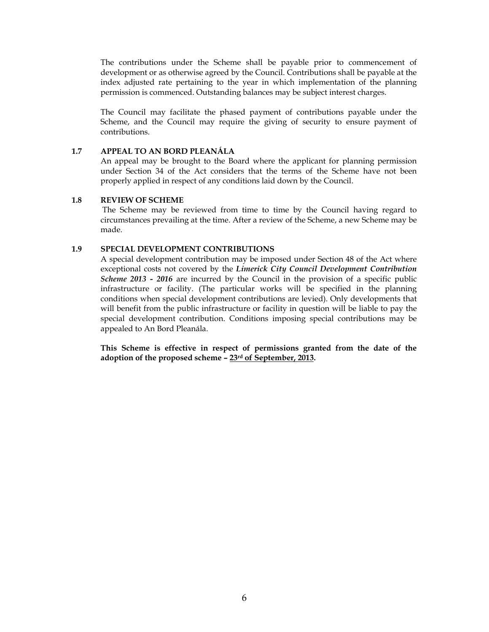The contributions under the Scheme shall be payable prior to commencement of development or as otherwise agreed by the Council. Contributions shall be payable at the index adjusted rate pertaining to the year in which implementation of the planning permission is commenced. Outstanding balances may be subject interest charges.

The Council may facilitate the phased payment of contributions payable under the Scheme, and the Council may require the giving of security to ensure payment of contributions.

### **1.7 APPEAL TO AN BORD PLEANÁLA**

An appeal may be brought to the Board where the applicant for planning permission under Section 34 of the Act considers that the terms of the Scheme have not been properly applied in respect of any conditions laid down by the Council.

### **1.8 REVIEW OF SCHEME**

The Scheme may be reviewed from time to time by the Council having regard to circumstances prevailing at the time. After a review of the Scheme, a new Scheme may be made.

### **1.9 SPECIAL DEVELOPMENT CONTRIBUTIONS**

A special development contribution may be imposed under Section 48 of the Act where exceptional costs not covered by the *Limerick City Council Development Contribution Scheme 2013 - 2016* are incurred by the Council in the provision of a specific public infrastructure or facility. (The particular works will be specified in the planning conditions when special development contributions are levied). Only developments that will benefit from the public infrastructure or facility in question will be liable to pay the special development contribution. Conditions imposing special contributions may be appealed to An Bord Pleanála.

**This Scheme is effective in respect of permissions granted from the date of the adoption of the proposed scheme – 23rd of September, 2013.**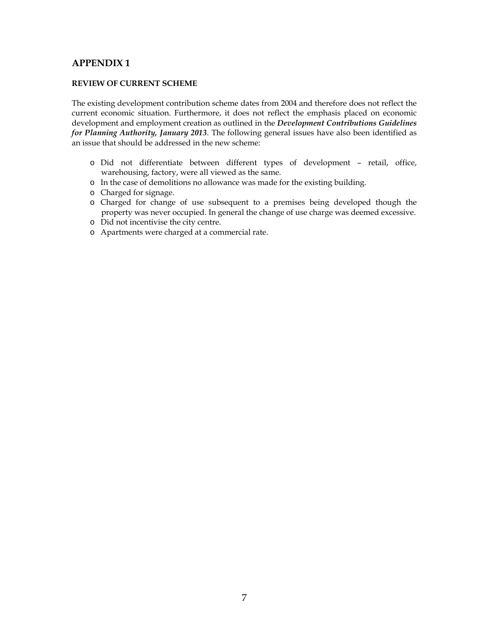### **REVIEW OF CURRENT SCHEME**

The existing development contribution scheme dates from 2004 and therefore does not reflect the current economic situation. Furthermore, it does not reflect the emphasis placed on economic development and employment creation as outlined in the *Development Contributions Guidelines for Planning Authority, January 2013*. The following general issues have also been identified as an issue that should be addressed in the new scheme:

- o Did not differentiate between different types of development retail, office, warehousing, factory, were all viewed as the same.
- o In the case of demolitions no allowance was made for the existing building.
- o Charged for signage.
- o Charged for change of use subsequent to a premises being developed though the property was never occupied. In general the change of use charge was deemed excessive.
- o Did not incentivise the city centre.
- o Apartments were charged at a commercial rate.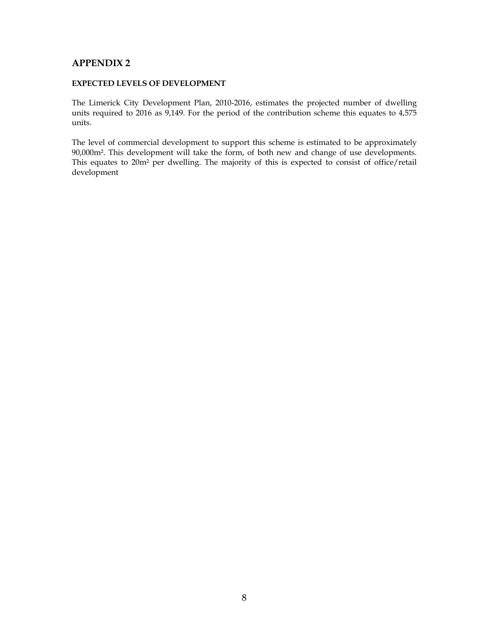### **EXPECTED LEVELS OF DEVELOPMENT**

The Limerick City Development Plan, 2010-2016, estimates the projected number of dwelling units required to 2016 as 9,149. For the period of the contribution scheme this equates to 4,575 units.

The level of commercial development to support this scheme is estimated to be approximately 90,000m². This development will take the form, of both new and change of use developments. This equates to 20m² per dwelling. The majority of this is expected to consist of office/retail development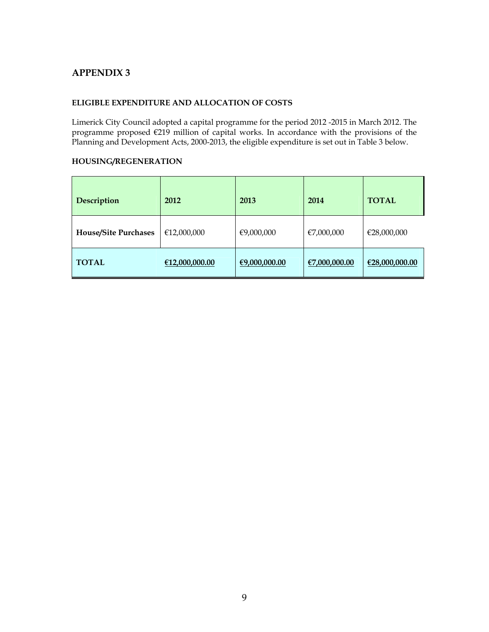### **ELIGIBLE EXPENDITURE AND ALLOCATION OF COSTS**

Limerick City Council adopted a capital programme for the period 2012 -2015 in March 2012. The programme proposed €219 million of capital works. In accordance with the provisions of the Planning and Development Acts, 2000-2013, the eligible expenditure is set out in Table 3 below.

### **HOUSING/REGENERATION**

| Description                 | 2012           | 2013          | 2014          | <b>TOTAL</b>   |
|-----------------------------|----------------|---------------|---------------|----------------|
| <b>House/Site Purchases</b> | €12,000,000    | €9,000,000    | €7,000,000    | €28,000,000    |
| <b>TOTAL</b>                | €12,000,000.00 | €9,000,000.00 | €7,000,000.00 | €28,000,000.00 |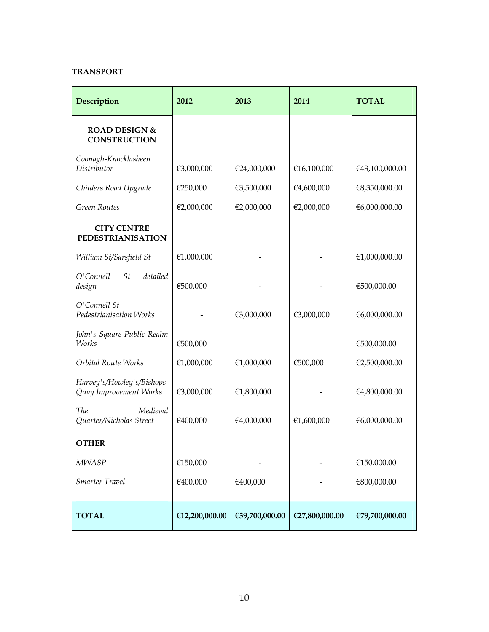### **TRANSPORT**

| Description                                         | 2012           | 2013           | 2014           | <b>TOTAL</b>   |
|-----------------------------------------------------|----------------|----------------|----------------|----------------|
| <b>ROAD DESIGN &amp;</b><br><b>CONSTRUCTION</b>     |                |                |                |                |
| Coonagh-Knocklasheen<br>Distributor                 | €3,000,000     | €24,000,000    | €16,100,000    | €43,100,000.00 |
| Childers Road Upgrade                               | €250,000       | €3,500,000     | €4,600,000     | €8,350,000.00  |
| <b>Green Routes</b>                                 | €2,000,000     | €2,000,000     | €2,000,000     | €6,000,000.00  |
| <b>CITY CENTRE</b><br><b>PEDESTRIANISATION</b>      |                |                |                |                |
| William St/Sarsfield St                             | €1,000,000     |                |                | €1,000,000.00  |
| O'Connell<br>St<br>detailed<br>design               | €500,000       |                |                | €500,000.00    |
| O'Connell St<br>Pedestrianisation Works             |                | €3,000,000     | €3,000,000     | €6,000,000.00  |
| John's Square Public Realm<br>Works                 | €500,000       |                |                | €500,000.00    |
| Orbital Route Works                                 | €1,000,000     | €1,000,000     | €500,000       | €2,500,000.00  |
| Harvey's/Howley's/Bishops<br>Quay Improvement Works | €3,000,000     | €1,800,000     |                | €4,800,000.00  |
| <b>The</b><br>Medieval<br>Quarter/Nicholas Street   | €400,000       | €4,000,000     | €1,600,000     | €6,000,000.00  |
| <b>OTHER</b>                                        |                |                |                |                |
| <b>MWASP</b>                                        | €150,000       |                |                | €150,000.00    |
| Smarter Travel                                      | €400,000       | €400,000       |                | €800,000.00    |
| <b>TOTAL</b>                                        | €12,200,000.00 | €39,700,000.00 | €27,800,000.00 | €79,700,000.00 |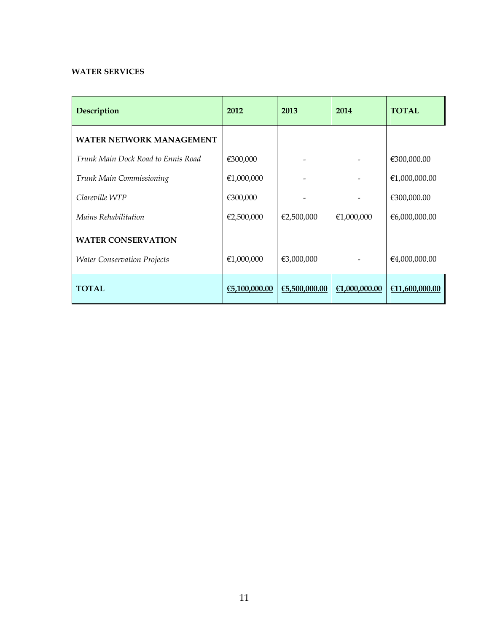# **WATER SERVICES**

| Description                        | 2012          | 2013          | 2014          | <b>TOTAL</b>   |
|------------------------------------|---------------|---------------|---------------|----------------|
| <b>WATER NETWORK MANAGEMENT</b>    |               |               |               |                |
| Trunk Main Dock Road to Ennis Road | €300,000      |               |               | €300,000.00    |
| Trunk Main Commissioning           | €1,000,000    |               |               | €1,000,000.00  |
| Clareville WTP                     | €300,000      |               |               | €300,000.00    |
| Mains Rehabilitation               | €2,500,000    | €2,500,000    | €1,000,000    | €6,000,000.00  |
| <b>WATER CONSERVATION</b>          |               |               |               |                |
| <b>Water Conservation Projects</b> | €1,000,000    | €3,000,000    |               | €4,000,000.00  |
| <b>TOTAL</b>                       | €5,100,000.00 | €5,500,000.00 | €1,000,000.00 | €11,600,000.00 |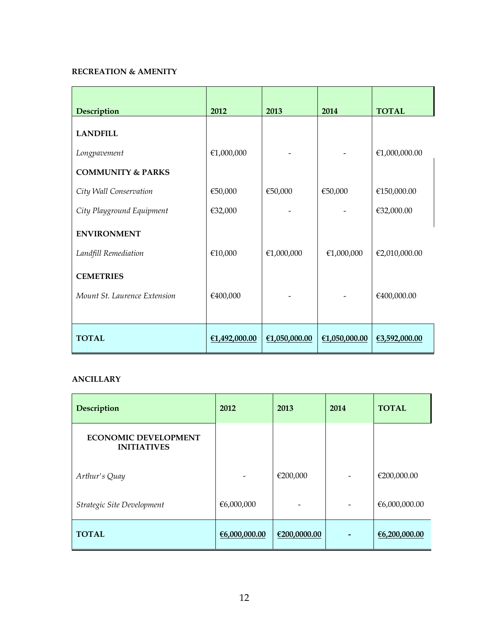# **RECREATION & AMENITY**

| Description                  | 2012          | 2013          | 2014          | <b>TOTAL</b>  |
|------------------------------|---------------|---------------|---------------|---------------|
| <b>LANDFILL</b>              |               |               |               |               |
| Longpavement                 | €1,000,000    |               |               | €1,000,000.00 |
| <b>COMMUNITY &amp; PARKS</b> |               |               |               |               |
| City Wall Conservation       | €50,000       | €50,000       | €50,000       | €150,000.00   |
| City Playground Equipment    | €32,000       |               |               | €32,000.00    |
| <b>ENVIRONMENT</b>           |               |               |               |               |
| Landfill Remediation         | €10,000       | €1,000,000    | €1,000,000    | €2,010,000.00 |
| <b>CEMETRIES</b>             |               |               |               |               |
| Mount St. Laurence Extension | €400,000      |               |               | €400,000.00   |
|                              |               |               |               |               |
| <b>TOTAL</b>                 | €1,492,000.00 | €1,050,000.00 | €1,050,000.00 | €3,592,000.00 |

# **ANCILLARY**

| Description                                       | 2012          | 2013         | 2014            | <b>TOTAL</b>  |
|---------------------------------------------------|---------------|--------------|-----------------|---------------|
| <b>ECONOMIC DEVELOPMENT</b><br><b>INITIATIVES</b> |               |              |                 |               |
| Arthur's Quay                                     |               | €200,000     | $\qquad \qquad$ | €200,000.00   |
| Strategic Site Development                        | €6,000,000    |              |                 | €6,000,000.00 |
| <b>TOTAL</b>                                      | €6,000,000.00 | €200,0000.00 |                 | €6,200,000.00 |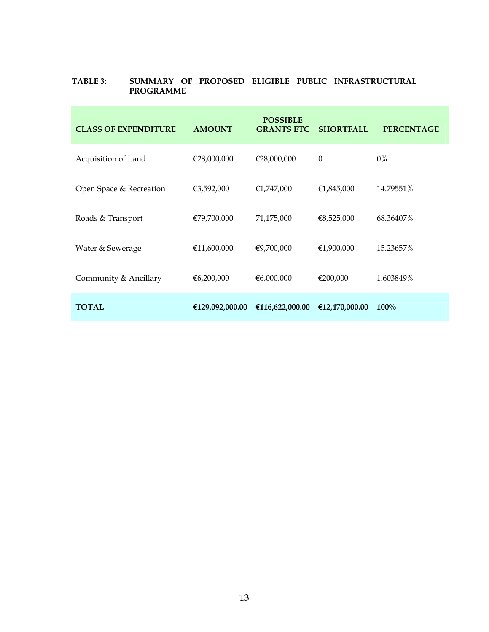### **TABLE 3: SUMMARY OF PROPOSED ELIGIBLE PUBLIC INFRASTRUCTURAL PROGRAMME**

| <b>CLASS OF EXPENDITURE</b> | <b>AMOUNT</b>   | <b>POSSIBLE</b><br><b>GRANTS ETC</b> | <b>SHORTFALL</b> | <b>PERCENTAGE</b> |
|-----------------------------|-----------------|--------------------------------------|------------------|-------------------|
| Acquisition of Land         | €28,000,000     | €28,000,000                          | $\theta$         | $0\%$             |
| Open Space & Recreation     | €3,592,000      | €1,747,000                           | €1,845,000       | 14.79551%         |
| Roads & Transport           | €79,700,000     | 71,175,000                           | €8,525,000       | 68.36407%         |
| Water & Sewerage            | €11,600,000     | €9,700,000                           | €1,900,000       | 15.23657%         |
| Community & Ancillary       | €6,200,000      | €6,000,000                           | €200,000         | 1.603849%         |
| <b>TOTAL</b>                | €129,092,000.00 | €116,622,000.00                      | €12,470,000.00   | 100%              |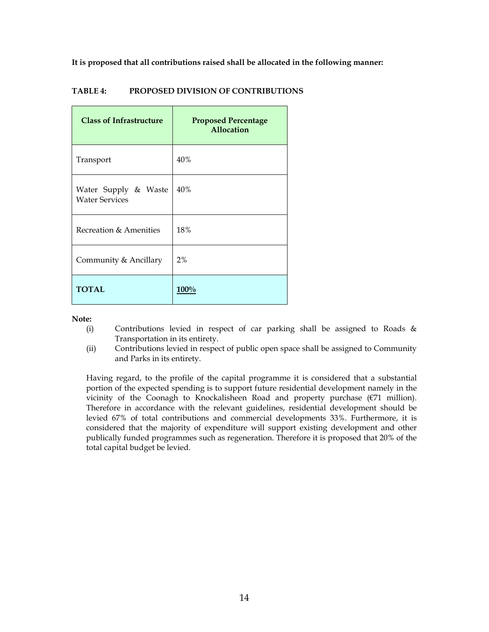**It is proposed that all contributions raised shall be allocated in the following manner:** 

| <b>Class of Infrastructure</b>                | <b>Proposed Percentage</b><br>Allocation |
|-----------------------------------------------|------------------------------------------|
| Transport                                     | 40%                                      |
| Water Supply & Waste<br><b>Water Services</b> | 40%                                      |
| Recreation & Amenities                        | 18%                                      |
| Community & Ancillary                         | 2%                                       |
| <b>TOTAL</b>                                  | $100\%$                                  |

### **TABLE 4: PROPOSED DIVISION OF CONTRIBUTIONS**

#### **Note:**

- (i) Contributions levied in respect of car parking shall be assigned to Roads & Transportation in its entirety.
- (ii) Contributions levied in respect of public open space shall be assigned to Community and Parks in its entirety.

Having regard, to the profile of the capital programme it is considered that a substantial portion of the expected spending is to support future residential development namely in the vicinity of the Coonagh to Knockalisheen Road and property purchase (€71 million). Therefore in accordance with the relevant guidelines, residential development should be levied 67% of total contributions and commercial developments 33%. Furthermore, it is considered that the majority of expenditure will support existing development and other publically funded programmes such as regeneration. Therefore it is proposed that 20% of the total capital budget be levied.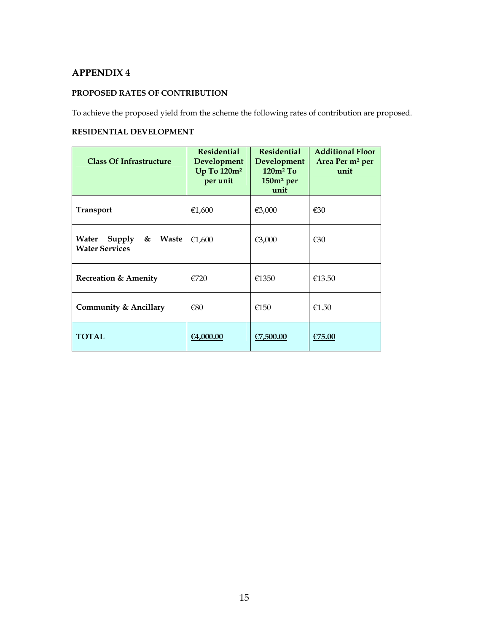### **PROPOSED RATES OF CONTRIBUTION**

To achieve the proposed yield from the scheme the following rates of contribution are proposed.

# **RESIDENTIAL DEVELOPMENT**

| <b>Class Of Infrastructure</b>                                | <b>Residential</b><br>Development<br>Up To 120m <sup>2</sup><br>per unit | <b>Residential</b><br>Development<br>$120m^2$ To<br>$150m2$ per<br>unit | <b>Additional Floor</b><br>Area Per m <sup>2</sup> per<br>unit |
|---------------------------------------------------------------|--------------------------------------------------------------------------|-------------------------------------------------------------------------|----------------------------------------------------------------|
| <b>Transport</b>                                              | €1,600                                                                   | €3,000                                                                  | €30                                                            |
| Supply $\&$<br><b>Waste</b><br>Water<br><b>Water Services</b> | €1,600                                                                   | €3,000                                                                  | €30                                                            |
| <b>Recreation &amp; Amenity</b>                               | €720                                                                     | €1350                                                                   | €13.50                                                         |
| <b>Community &amp; Ancillary</b>                              | €80                                                                      | €150                                                                    | €1.50                                                          |
| <b>TOTAL</b>                                                  | €4,000.00                                                                | €7,500.00                                                               | €75.00                                                         |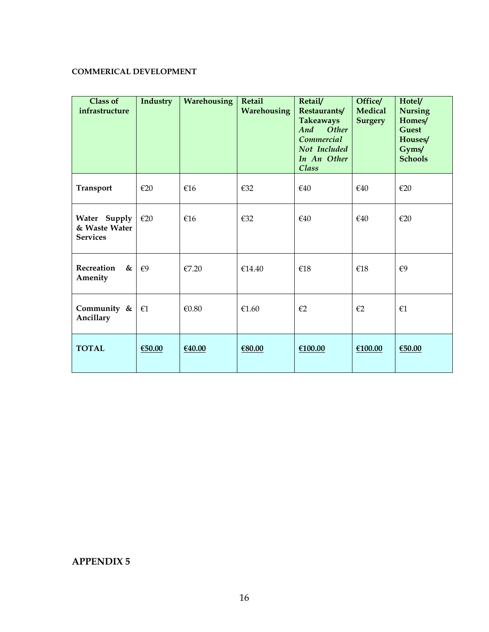# **COMMERICAL DEVELOPMENT**

| <b>Class of</b><br>infrastructure                | Industry     | Warehousing | Retail<br>Warehousing | Retail/<br>Restaurants/<br><b>Takeaways</b><br>Other<br>And<br>Commercial<br>Not Included<br>In An Other<br>Class | Office/<br><b>Medical</b><br><b>Surgery</b> | Hotel/<br><b>Nursing</b><br>Homes/<br><b>Guest</b><br>Houses/<br>Gyms/<br><b>Schools</b> |
|--------------------------------------------------|--------------|-------------|-----------------------|-------------------------------------------------------------------------------------------------------------------|---------------------------------------------|------------------------------------------------------------------------------------------|
| <b>Transport</b>                                 | E20          | €16         | €32                   | €40                                                                                                               | €40                                         | $\epsilon$ 20                                                                            |
| Water Supply<br>& Waste Water<br><b>Services</b> | E20          | €16         | €32                   | €40                                                                                                               | €40                                         | $\epsilon$ 20                                                                            |
| Recreation<br>&<br>Amenity                       | €9           | €7.20       | €14.40                | €18                                                                                                               | €18                                         | €9                                                                                       |
| Community &<br>Ancillary                         | $\epsilon$ 1 | €0.80       | €1.60                 | $\epsilon$ 2                                                                                                      | $\epsilon$ 2                                | f1                                                                                       |
| <b>TOTAL</b>                                     | €50.00       | €40.00      | €80.00                | €100.00                                                                                                           | €100.00                                     | €50.00                                                                                   |

# **APPENDIX 5**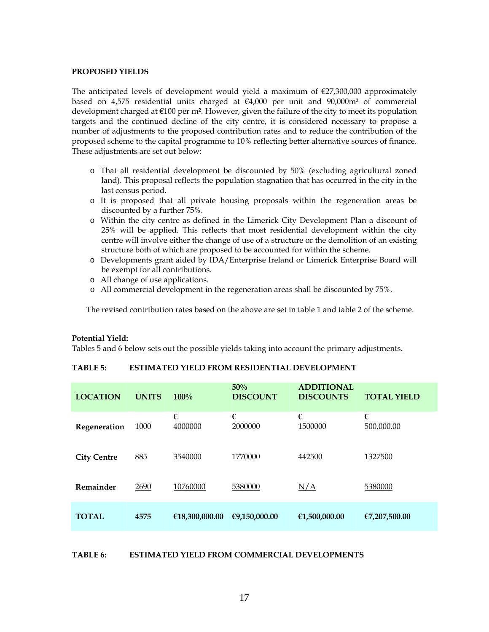#### **PROPOSED YIELDS**

The anticipated levels of development would yield a maximum of  $E$ 27,300,000 approximately based on 4,575 residential units charged at  $\epsilon$ 4,000 per unit and 90,000m<sup>2</sup> of commercial development charged at  $\epsilon$ 100 per m<sup>2</sup>. However, given the failure of the city to meet its population targets and the continued decline of the city centre, it is considered necessary to propose a number of adjustments to the proposed contribution rates and to reduce the contribution of the proposed scheme to the capital programme to 10% reflecting better alternative sources of finance. These adjustments are set out below:

- o That all residential development be discounted by 50% (excluding agricultural zoned land). This proposal reflects the population stagnation that has occurred in the city in the last census period.
- o It is proposed that all private housing proposals within the regeneration areas be discounted by a further 75%.
- o Within the city centre as defined in the Limerick City Development Plan a discount of 25% will be applied. This reflects that most residential development within the city centre will involve either the change of use of a structure or the demolition of an existing structure both of which are proposed to be accounted for within the scheme.
- o Developments grant aided by IDA/Enterprise Ireland or Limerick Enterprise Board will be exempt for all contributions.
- o All change of use applications.
- o All commercial development in the regeneration areas shall be discounted by 75%.

The revised contribution rates based on the above are set in table 1 and table 2 of the scheme.

#### **Potential Yield:**

Tables 5 and 6 below sets out the possible yields taking into account the primary adjustments.

#### **TABLE 5: ESTIMATED YIELD FROM RESIDENTIAL DEVELOPMENT**

| <b>LOCATION</b>    | <b>UNITS</b> | 100%           | 50%<br><b>DISCOUNT</b> | <b>ADDITIONAL</b><br><b>DISCOUNTS</b> | <b>TOTAL YIELD</b> |
|--------------------|--------------|----------------|------------------------|---------------------------------------|--------------------|
| Regeneration       | 1000         | €<br>4000000   | €<br>2000000           | €<br>1500000                          | €<br>500,000.00    |
| <b>City Centre</b> | 885          | 3540000        | 1770000                | 442500                                | 1327500            |
| Remainder          | 2690         | 10760000       | 5380000                | N/A                                   | 5380000            |
| <b>TOTAL</b>       | 4575         | €18,300,000.00 | €9,150,000.00          | €1,500,000.00                         | €7,207,500.00      |

#### **TABLE 6: ESTIMATED YIELD FROM COMMERCIAL DEVELOPMENTS**